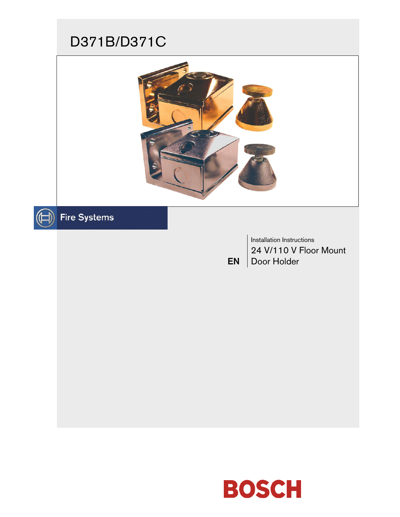# D371B/D371C





# $\textcircled{\scriptsize{\textsf{H}}}$  Fire Systems

EN Installation Instructions 24 V/110 V Floor Mount Door Holder

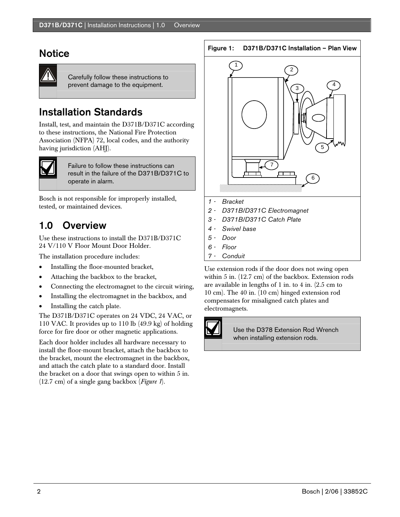### **Notice**

Carefully follow these instructions to prevent damage to the equipment.

# Installation Standards

Install, test, and maintain the D371B/D371C according to these instructions, the National Fire Protection Association (NFPA) 72, local codes, and the authority having jurisdiction (AHJ).



Failure to follow these instructions can result in the failure of the D371B/D371C to operate in alarm.

Bosch is not responsible for improperly installed, tested, or maintained devices.

# 1.0 Overview

Use these instructions to install the D371B/D371C 24 V/110 V Floor Mount Door Holder.

The installation procedure includes:

- Installing the floor-mounted bracket,
- Attaching the backbox to the bracket,
- Connecting the electromagnet to the circuit wiring,
- Installing the electromagnet in the backbox, and
- Installing the catch plate.

The D371B/D371C operates on 24 VDC, 24 VAC, or 110 VAC. It provides up to 110 lb (49.9 kg) of holding force for fire door or other magnetic applications.

Each door holder includes all hardware necessary to install the floor-mount bracket, attach the backbox to the bracket, mount the electromagnet in the backbox, and attach the catch plate to a standard door. Install the bracket on a door that swings open to within 5 in. (12.7 cm) of a single gang backbox (*Figure 1*).

#### Figure 1: D371B/D371C Installation – Plan View



- *3 D371B/D371C Catch Plate*
- *4 Swivel base*
- *5 Door*
- *6 Floor*
- *7 Conduit*

Use extension rods if the door does not swing open within 5 in. (12.7 cm) of the backbox. Extension rods are available in lengths of 1 in. to 4 in. (2.5 cm to 10 cm). The 40 in. (10 cm) hinged extension rod compensates for misaligned catch plates and electromagnets.



Use the D378 Extension Rod Wrench when installing extension rods.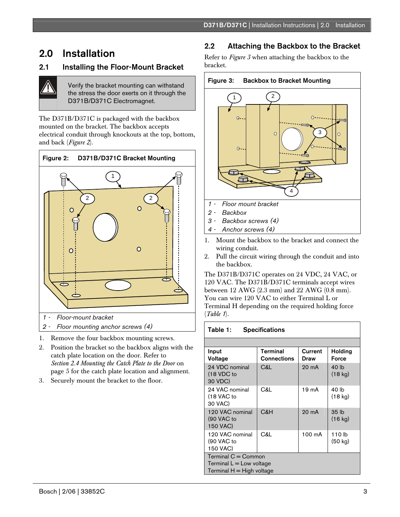# 2.0 Installation

### 2.1 Installing the Floor-Mount Bracket

Verify the bracket mounting can withstand the stress the door exerts on it through the D371B/D371C Electromagnet.

The D371B/D371C is packaged with the backbox mounted on the bracket. The backbox accepts electrical conduit through knockouts at the top, bottom, and back (*Figure 2*).



1. Remove the four backbox mounting screws.

- 2. Position the bracket so the backbox aligns with the catch plate location on the door. Refer to *Section 2.4 Mounting the Catch Plate to the Door* on page 5 for the catch plate location and alignment.
- 3. Securely mount the bracket to the floor.

### 2.2 Attaching the Backbox to the Bracket

Refer to *Figure 3* when attaching the backbox to the bracket.



- *3 Backbox screws (4)*
- *4 Anchor screws (4)*
- 1. Mount the backbox to the bracket and connect the wiring conduit.
- 2. Pull the circuit wiring through the conduit and into the backbox.

The D371B/D371C operates on 24 VDC, 24 VAC, or 120 VAC. The D371B/D371C terminals accept wires between 12 AWG (2.3 mm) and 22 AWG (0.8 mm). You can wire 120 VAC to either Terminal L or Terminal H depending on the required holding force (*Table 1*).

#### Table 1: Specifications

| Input<br>Voltage                                                                    | Terminal<br><b>Connections</b> | Current<br>Draw | <b>Holding</b><br>Force       |
|-------------------------------------------------------------------------------------|--------------------------------|-----------------|-------------------------------|
| 24 VDC nominal<br>(18 VDC to<br>30 VDC)                                             | C&L                            | 20 mA           | 40 lb<br>$(18 \text{ kg})$    |
| 24 VAC nominal<br>(18 VAC to<br>30 VAC)                                             | C&L                            | 19 mA           | 40 lb<br>$(18 \text{ kg})$    |
| 120 VAC nominal<br>(90 VAC to<br>150 VAC)                                           | C&H                            | 20 mA           | 35 <sub>th</sub><br>$(16$ kg) |
| 120 VAC nominal<br>(90 VAC to<br>150 VAC)                                           | C&L                            | 100 mA          | 110 <sub>lb</sub><br>(50 kg)  |
| Terminal $C =$ Common<br>Terminal $L = Low$ voltage<br>Terminal $H = H$ igh voltage |                                |                 |                               |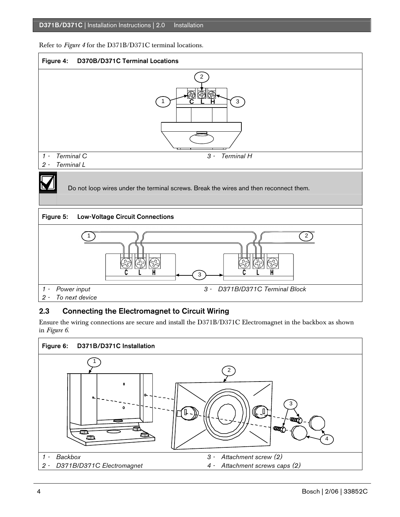Refer to *Figure 4* for the D371B/D371C terminal locations.



### 2.3 Connecting the Electromagnet to Circuit Wiring

Ensure the wiring connections are secure and install the D371B/D371C Electromagnet in the backbox as shown in *Figure 6*.

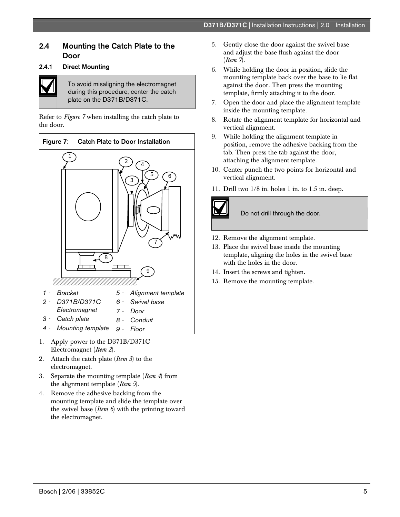### 2.4 Mounting the Catch Plate to the Door

#### 2.4.1 Direct Mounting



To avoid misaligning the electromagnet during this procedure, center the catch plate on the D371B/D371C.

Refer to *Figure 7* when installing the catch plate to the door.



- 1. Apply power to the D371B/D371C Electromagnet (*Item 2*).
- 2. Attach the catch plate (*Item 3*) to the electromagnet.
- 3. Separate the mounting template (*Item 4*) from the alignment template (*Item 5*).
- 4. Remove the adhesive backing from the mounting template and slide the template over the swivel base (*Item 6*) with the printing toward the electromagnet.
- 5. Gently close the door against the swivel base and adjust the base flush against the door (*Item 7*).
- 6. While holding the door in position, slide the mounting template back over the base to lie flat against the door. Then press the mounting template, firmly attaching it to the door.
- 7. Open the door and place the alignment template inside the mounting template.
- 8. Rotate the alignment template for horizontal and vertical alignment.
- 9. While holding the alignment template in position, remove the adhesive backing from the tab. Then press the tab against the door, attaching the alignment template.
- 10. Center punch the two points for horizontal and vertical alignment.
- 11. Drill two 1/8 in. holes 1 in. to 1.5 in. deep.



Do not drill through the door.

- 12. Remove the alignment template.
- 13. Place the swivel base inside the mounting template, aligning the holes in the swivel base with the holes in the door.
- 14. Insert the screws and tighten.
- 15. Remove the mounting template.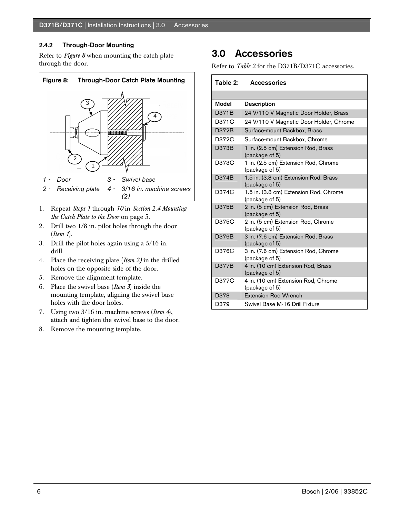#### 2.4.2 Through-Door Mounting

Refer to *Figure 8* when mounting the catch plate through the door.



- 1. Repeat *Steps 1* through *10* in *Section 2.4 Mounting the Catch Plate to the Door* on page 5.
- 2. Drill two 1/8 in. pilot holes through the door (*Item 1*).
- 3. Drill the pilot holes again using a 5/16 in. drill.
- 4. Place the receiving plate (*Item 2)* in the drilled holes on the opposite side of the door.
- 5. Remove the alignment template.
- 6. Place the swivel base (*Item 3*) inside the mounting template, aligning the swivel base holes with the door holes.
- 7. Using two 3/16 in. machine screws (*Item 4*), attach and tighten the swivel base to the door.
- 8. Remove the mounting template.

# 3.0 Accessories

Refer to *Table 2* for the D371B/D371C accessories.

|              | Table 2: Accessories                                     |
|--------------|----------------------------------------------------------|
|              |                                                          |
| <b>Model</b> | <b>Description</b>                                       |
| D371B        | 24 V/110 V Magnetic Door Holder, Brass                   |
| D371C        | 24 V/110 V Magnetic Door Holder, Chrome                  |
| D372B        | Surface-mount Backbox, Brass                             |
| D372C        | Surface-mount Backbox, Chrome                            |
| D373B        | 1 in. (2.5 cm) Extension Rod, Brass<br>(package of 5)    |
| D373C        | 1 in. (2.5 cm) Extension Rod, Chrome<br>(package of 5)   |
| D374B        | 1.5 in. (3.8 cm) Extension Rod, Brass<br>(package of 5)  |
| D374C        | 1.5 in. (3.8 cm) Extension Rod, Chrome<br>(package of 5) |
| D375B        | 2 in. (5 cm) Extension Rod, Brass<br>(package of 5)      |
| D375C        | 2 in. (5 cm) Extension Rod, Chrome<br>(package of 5)     |
| D376B        | 3 in. (7.6 cm) Extension Rod, Brass<br>(package of 5)    |
| D376C        | 3 in. (7.6 cm) Extension Rod, Chrome<br>(package of 5)   |
| D377B        | 4 in. (10 cm) Extension Rod, Brass<br>(package of 5)     |
| D377C        | 4 in. (10 cm) Extension Rod, Chrome<br>(package of 5)    |
| D378         | <b>Extension Rod Wrench</b>                              |
| D379         | Swivel Base M-16 Drill Fixture                           |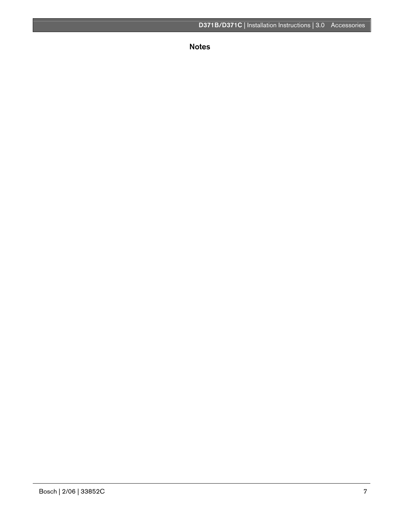Notes